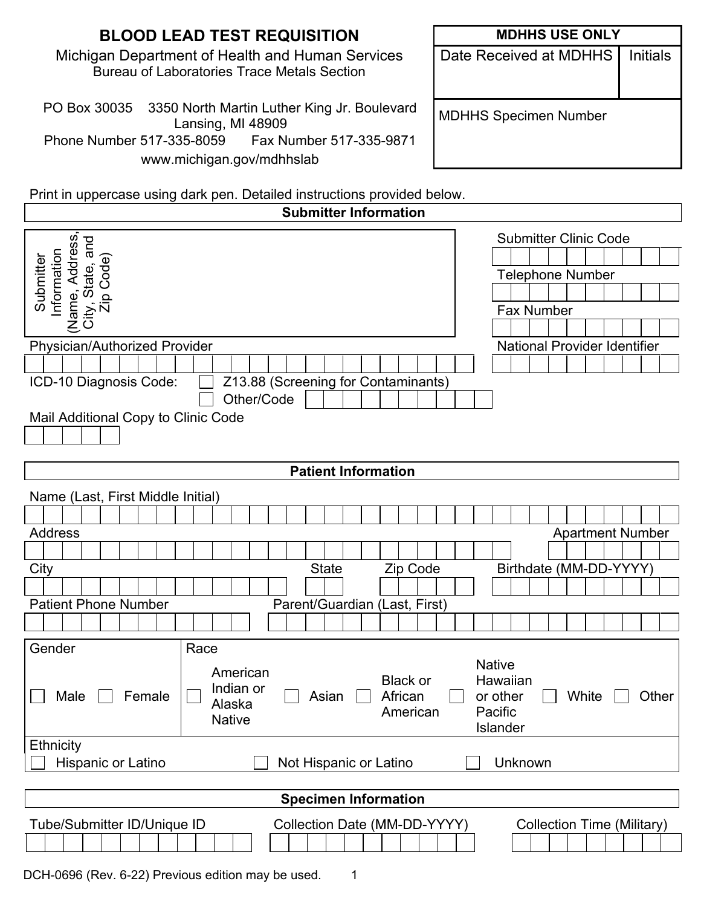| <b>MDHHS USE ONLY</b>        |                 |
|------------------------------|-----------------|
| Date Received at MDHHS       | <b>Initials</b> |
| <b>MDHHS Specimen Number</b> |                 |
|                              |                 |
|                              |                 |

Print in uppercase using dark pen. Detailed instructions provided below.

| <b>Submitter Information</b>                                                                                                                                                                                                                            |                                                                                                              |  |
|---------------------------------------------------------------------------------------------------------------------------------------------------------------------------------------------------------------------------------------------------------|--------------------------------------------------------------------------------------------------------------|--|
| Address<br>and<br>Submitter<br>Information<br>Code)<br>(Name, Addr<br>City, State, a<br>Zip Code<br>Physician/Authorized Provider<br>Z13.88 (Screening for Contaminants)<br>ICD-10 Diagnosis Code:<br>Other/Code<br>Mail Additional Copy to Clinic Code | <b>Submitter Clinic Code</b><br>Telephone Number<br><b>Fax Number</b><br><b>National Provider Identifier</b> |  |
|                                                                                                                                                                                                                                                         |                                                                                                              |  |
| <b>Patient Information</b>                                                                                                                                                                                                                              |                                                                                                              |  |
| Name (Last, First Middle Initial)                                                                                                                                                                                                                       |                                                                                                              |  |
|                                                                                                                                                                                                                                                         |                                                                                                              |  |
| <b>Address</b>                                                                                                                                                                                                                                          | <b>Apartment Number</b>                                                                                      |  |
|                                                                                                                                                                                                                                                         |                                                                                                              |  |
| City<br><b>State</b><br>Zip Code                                                                                                                                                                                                                        | Birthdate (MM-DD-YYYY)                                                                                       |  |
|                                                                                                                                                                                                                                                         |                                                                                                              |  |
| <b>Patient Phone Number</b><br>Parent/Guardian (Last, First)                                                                                                                                                                                            |                                                                                                              |  |
|                                                                                                                                                                                                                                                         |                                                                                                              |  |
| Gender<br>Race<br>American<br><b>Black or</b><br>Indian or<br>African<br>Male<br>Asian<br>Female<br>Alaska<br>American<br><b>Native</b>                                                                                                                 | <b>Native</b><br>Hawaiian<br>or other<br>White<br>Other<br>Pacific<br>Islander                               |  |
| Ethnicity                                                                                                                                                                                                                                               |                                                                                                              |  |
| Hispanic or Latino<br>Not Hispanic or Latino                                                                                                                                                                                                            | Unknown                                                                                                      |  |
|                                                                                                                                                                                                                                                         |                                                                                                              |  |
| <b>Specimen Information</b>                                                                                                                                                                                                                             |                                                                                                              |  |
| Collection Date (MM-DD-YYYY)<br>Tube/Submitter ID/Unique ID                                                                                                                                                                                             | <b>Collection Time (Military)</b>                                                                            |  |

DCH-0696 (Rev. 6-22) Previous edition may be used. 1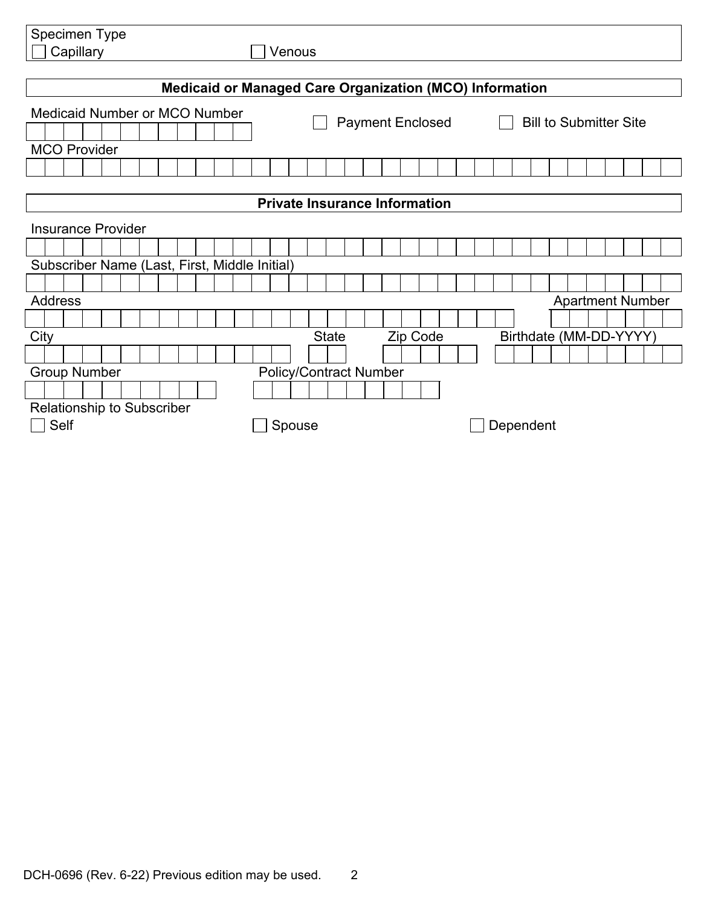| Specimen Type                                                  |                                                          |  |  |
|----------------------------------------------------------------|----------------------------------------------------------|--|--|
| Capillary                                                      | Venous                                                   |  |  |
|                                                                |                                                          |  |  |
| <b>Medicaid or Managed Care Organization (MCO) Information</b> |                                                          |  |  |
| <b>Medicaid Number or MCO Number</b>                           | <b>Bill to Submitter Site</b><br><b>Payment Enclosed</b> |  |  |
|                                                                |                                                          |  |  |
| <b>MCO Provider</b>                                            |                                                          |  |  |
|                                                                |                                                          |  |  |
|                                                                |                                                          |  |  |
| <b>Private Insurance Information</b>                           |                                                          |  |  |
| <b>Insurance Provider</b>                                      |                                                          |  |  |
|                                                                |                                                          |  |  |
| Subscriber Name (Last, First, Middle Initial)                  |                                                          |  |  |
|                                                                |                                                          |  |  |
| <b>Address</b><br><b>Apartment Number</b>                      |                                                          |  |  |
|                                                                |                                                          |  |  |
| City                                                           | Birthdate (MM-DD-YYYY)<br><b>State</b><br>Zip Code       |  |  |
|                                                                |                                                          |  |  |
| <b>Group Number</b>                                            | <b>Policy/Contract Number</b>                            |  |  |
|                                                                |                                                          |  |  |
| <b>Relationship to Subscriber</b>                              |                                                          |  |  |
| Self                                                           | Spouse<br>Dependent                                      |  |  |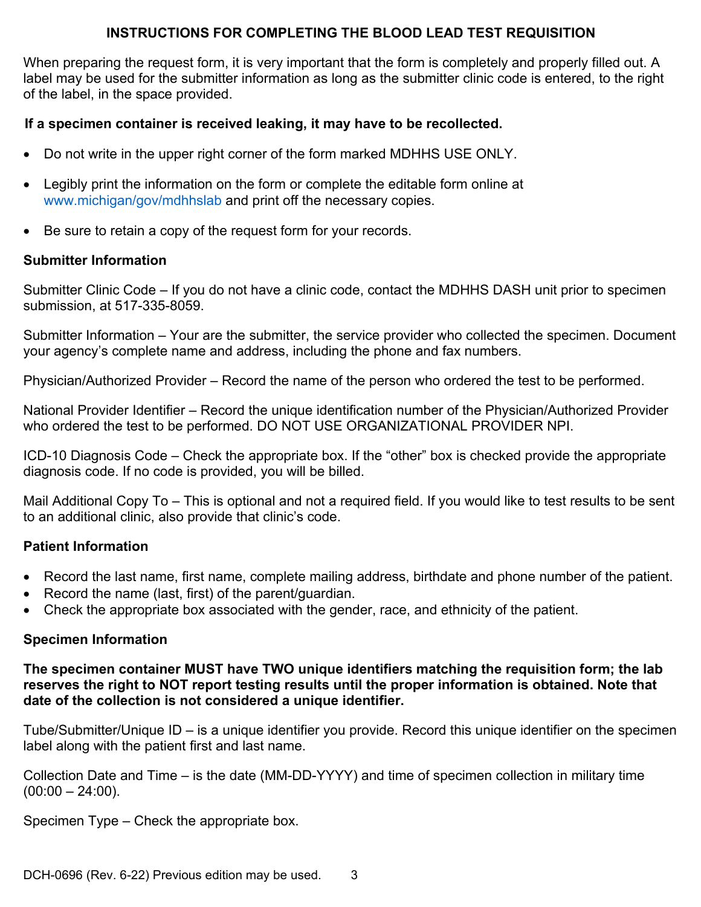# **INSTRUCTIONS FOR COMPLETING THE BLOOD LEAD TEST REQUISITION**

When preparing the request form, it is very important that the form is completely and properly filled out. A label may be used for the submitter information as long as the submitter clinic code is entered, to the right of the label, in the space provided.

# **If a specimen container is received leaking, it may have to be recollected.**

- Do not write in the upper right corner of the form marked MDHHS USE ONLY.
- Legibly print the information on the form or complete the editable form online at www.michigan/gov/mdhhslab and print off the necessary copies.
- Be sure to retain a copy of the request form for your records.

## **Submitter Information**

Submitter Clinic Code – If you do not have a clinic code, contact the MDHHS DASH unit prior to specimen submission, at 517-335-8059.

Submitter Information – Your are the submitter, the service provider who collected the specimen. Document your agency's complete name and address, including the phone and fax numbers.

Physician/Authorized Provider – Record the name of the person who ordered the test to be performed.

National Provider Identifier – Record the unique identification number of the Physician/Authorized Provider who ordered the test to be performed. DO NOT USE ORGANIZATIONAL PROVIDER NPI.

ICD-10 Diagnosis Code – Check the appropriate box. If the "other" box is checked provide the appropriate diagnosis code. If no code is provided, you will be billed.

Mail Additional Copy To – This is optional and not a required field. If you would like to test results to be sent to an additional clinic, also provide that clinic's code.

## **Patient Information**

- Record the last name, first name, complete mailing address, birthdate and phone number of the patient.
- Record the name (last, first) of the parent/guardian.
- Check the appropriate box associated with the gender, race, and ethnicity of the patient.

## **Specimen Information**

#### **The specimen container MUST have TWO unique identifiers matching the requisition form; the lab reserves the right to NOT report testing results until the proper information is obtained. Note that date of the collection is not considered a unique identifier.**

Tube/Submitter/Unique ID – is a unique identifier you provide. Record this unique identifier on the specimen label along with the patient first and last name.

Collection Date and Time – is the date (MM-DD-YYYY) and time of specimen collection in military time  $(00:00 - 24:00)$ .

Specimen Type – Check the appropriate box.